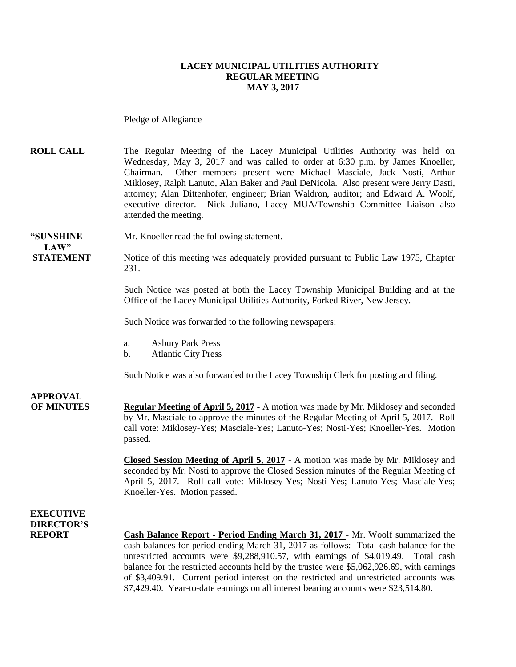#### **LACEY MUNICIPAL UTILITIES AUTHORITY REGULAR MEETING MAY 3, 2017**

Pledge of Allegiance

**ROLL CALL** The Regular Meeting of the Lacey Municipal Utilities Authority was held on Wednesday, May 3, 2017 and was called to order at 6:30 p.m. by James Knoeller, Chairman. Other members present were Michael Masciale, Jack Nosti, Arthur Miklosey, Ralph Lanuto, Alan Baker and Paul DeNicola. Also present were Jerry Dasti, attorney; Alan Dittenhofer, engineer; Brian Waldron, auditor; and Edward A. Woolf, executive director. Nick Juliano, Lacey MUA/Township Committee Liaison also attended the meeting.

#### **"SUNSHINE** Mr. Knoeller read the following statement. **LAW"**

**STATEMENT** Notice of this meeting was adequately provided pursuant to Public Law 1975, Chapter 231.

> Such Notice was posted at both the Lacey Township Municipal Building and at the Office of the Lacey Municipal Utilities Authority, Forked River, New Jersey.

Such Notice was forwarded to the following newspapers:

- a. Asbury Park Press
- b. Atlantic City Press

Such Notice was also forwarded to the Lacey Township Clerk for posting and filing.

## **APPROVAL**

**OF MINUTES Regular Meeting of April 5, 2017 -** A motion was made by Mr. Miklosey and seconded by Mr. Masciale to approve the minutes of the Regular Meeting of April 5, 2017. Roll call vote: Miklosey-Yes; Masciale-Yes; Lanuto-Yes; Nosti-Yes; Knoeller-Yes. Motion passed.

> **Closed Session Meeting of April 5, 2017** - A motion was made by Mr. Miklosey and seconded by Mr. Nosti to approve the Closed Session minutes of the Regular Meeting of April 5, 2017. Roll call vote: Miklosey-Yes; Nosti-Yes; Lanuto-Yes; Masciale-Yes; Knoeller-Yes. Motion passed.

### **EXECUTIVE DIRECTOR'S**

**REPORT Cash Balance Report - Period Ending March 31, 2017** - Mr. Woolf summarized the cash balances for period ending March 31, 2017 as follows: Total cash balance for the unrestricted accounts were \$9,288,910.57, with earnings of \$4,019.49. Total cash balance for the restricted accounts held by the trustee were \$5,062,926.69, with earnings of \$3,409.91. Current period interest on the restricted and unrestricted accounts was \$7,429.40. Year-to-date earnings on all interest bearing accounts were \$23,514.80.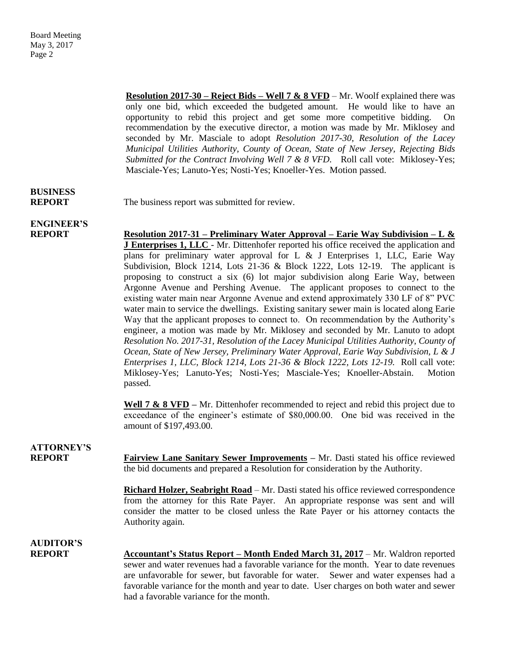**Resolution 2017-30 – Reject Bids – Well 7 & 8 VFD** – Mr. Woolf explained there was only one bid, which exceeded the budgeted amount. He would like to have an opportunity to rebid this project and get some more competitive bidding. On recommendation by the executive director, a motion was made by Mr. Miklosey and seconded by Mr. Masciale to adopt *Resolution 2017-30, Resolution of the Lacey Municipal Utilities Authority, County of Ocean, State of New Jersey, Rejecting Bids Submitted for the Contract Involving Well 7 & 8 VFD.* Roll call vote: Miklosey-Yes; Masciale-Yes; Lanuto-Yes; Nosti-Yes; Knoeller-Yes. Motion passed.

# **BUSINESS**

**REPORT** The business report was submitted for review.

# **ENGINEER'S**

**REPORT Resolution 2017-31 – Preliminary Water Approval – Earie Way Subdivision – L & J Enterprises 1, LLC** - Mr. Dittenhofer reported his office received the application and plans for preliminary water approval for L  $\&$  J Enterprises 1, LLC, Earie Way Subdivision, Block 1214, Lots 21-36 & Block 1222, Lots 12-19. The applicant is proposing to construct a six (6) lot major subdivision along Earie Way, between Argonne Avenue and Pershing Avenue. The applicant proposes to connect to the existing water main near Argonne Avenue and extend approximately 330 LF of 8" PVC water main to service the dwellings. Existing sanitary sewer main is located along Earie Way that the applicant proposes to connect to. On recommendation by the Authority's engineer, a motion was made by Mr. Miklosey and seconded by Mr. Lanuto to adopt *Resolution No. 2017-31, Resolution of the Lacey Municipal Utilities Authority, County of Ocean, State of New Jersey, Preliminary Water Approval, Earie Way Subdivision, L & J Enterprises 1, LLC, Block 1214, Lots 21-36 & Block 1222, Lots 12-19.* Roll call vote: Miklosey-Yes; Lanuto-Yes; Nosti-Yes; Masciale-Yes; Knoeller-Abstain. Motion passed.

> Well 7 & 8 VFD – Mr. Dittenhofer recommended to reject and rebid this project due to exceedance of the engineer's estimate of \$80,000.00. One bid was received in the amount of \$197,493.00.

### **ATTORNEY'S**

**REPORT Fairview Lane Sanitary Sewer Improvements** – Mr. Dasti stated his office reviewed the bid documents and prepared a Resolution for consideration by the Authority.

> **Richard Holzer, Seabright Road** – Mr. Dasti stated his office reviewed correspondence from the attorney for this Rate Payer. An appropriate response was sent and will consider the matter to be closed unless the Rate Payer or his attorney contacts the Authority again.

# **AUDITOR'S**

**REPORT** Accountant's Status Report – Month Ended March 31, 2017 – Mr. Waldron reported sewer and water revenues had a favorable variance for the month. Year to date revenues are unfavorable for sewer, but favorable for water. Sewer and water expenses had a favorable variance for the month and year to date. User charges on both water and sewer had a favorable variance for the month.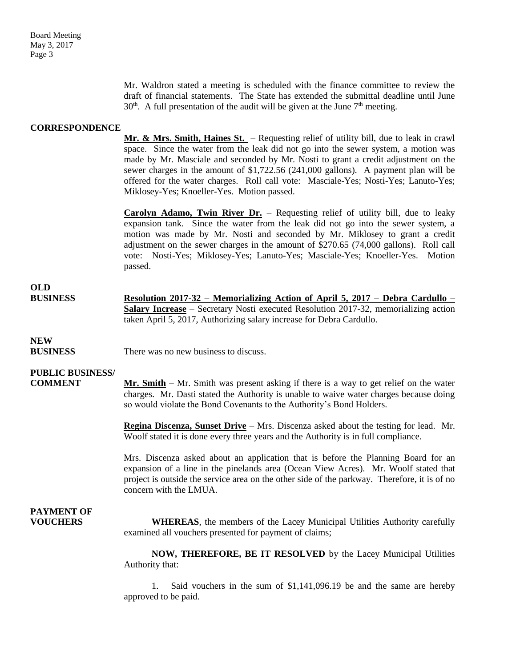Mr. Waldron stated a meeting is scheduled with the finance committee to review the draft of financial statements. The State has extended the submittal deadline until June  $30<sup>th</sup>$ . A full presentation of the audit will be given at the June  $7<sup>th</sup>$  meeting.

#### **CORRESPONDENCE**

**Mr. & Mrs. Smith, Haines St.** – Requesting relief of utility bill, due to leak in crawl space. Since the water from the leak did not go into the sewer system, a motion was made by Mr. Masciale and seconded by Mr. Nosti to grant a credit adjustment on the sewer charges in the amount of \$1,722.56 (241,000 gallons). A payment plan will be offered for the water charges. Roll call vote: Masciale-Yes; Nosti-Yes; Lanuto-Yes; Miklosey-Yes; Knoeller-Yes. Motion passed.

**Carolyn Adamo, Twin River Dr.** – Requesting relief of utility bill, due to leaky expansion tank. Since the water from the leak did not go into the sewer system, a motion was made by Mr. Nosti and seconded by Mr. Miklosey to grant a credit adjustment on the sewer charges in the amount of \$270.65 (74,000 gallons). Roll call vote: Nosti-Yes; Miklosey-Yes; Lanuto-Yes; Masciale-Yes; Knoeller-Yes. Motion passed.

## **OLD**

**BUSINESS Resolution 2017-32 – Memorializing Action of April 5, 2017 – Debra Cardullo – Salary Increase** – Secretary Nosti executed Resolution 2017-32, memorializing action taken April 5, 2017, Authorizing salary increase for Debra Cardullo.

### **NEW**

**BUSINESS** There was no new business to discuss.

### **PUBLIC BUSINESS/**

**COMMENT Mr. Smith** – Mr. Smith was present asking if there is a way to get relief on the water charges. Mr. Dasti stated the Authority is unable to waive water charges because doing so would violate the Bond Covenants to the Authority's Bond Holders.

> **Regina Discenza, Sunset Drive** – Mrs. Discenza asked about the testing for lead. Mr. Woolf stated it is done every three years and the Authority is in full compliance.

> Mrs. Discenza asked about an application that is before the Planning Board for an expansion of a line in the pinelands area (Ocean View Acres). Mr. Woolf stated that project is outside the service area on the other side of the parkway. Therefore, it is of no concern with the LMUA.

# **PAYMENT OF**

**VOUCHERS WHEREAS**, the members of the Lacey Municipal Utilities Authority carefully examined all vouchers presented for payment of claims;

> **NOW, THEREFORE, BE IT RESOLVED** by the Lacey Municipal Utilities Authority that:

> 1. Said vouchers in the sum of \$1,141,096.19 be and the same are hereby approved to be paid.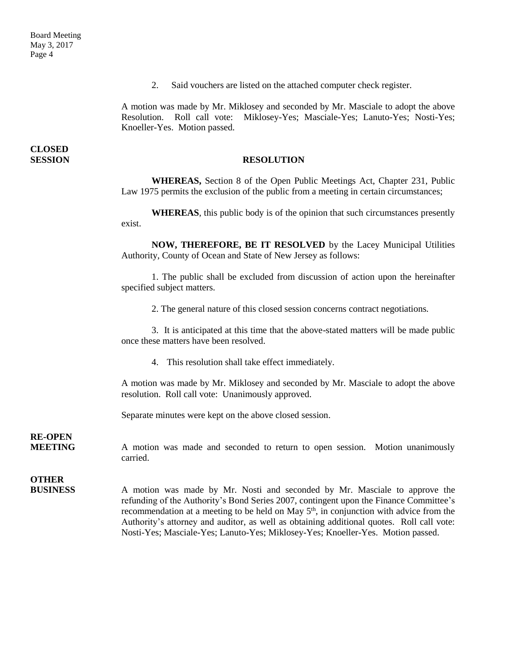2. Said vouchers are listed on the attached computer check register.

A motion was made by Mr. Miklosey and seconded by Mr. Masciale to adopt the above Resolution. Roll call vote: Miklosey-Yes; Masciale-Yes; Lanuto-Yes; Nosti-Yes; Knoeller-Yes. Motion passed.

**CLOSED** 

#### **SESSION RESOLUTION**

**WHEREAS,** Section 8 of the Open Public Meetings Act, Chapter 231, Public Law 1975 permits the exclusion of the public from a meeting in certain circumstances;

**WHEREAS**, this public body is of the opinion that such circumstances presently exist.

**NOW, THEREFORE, BE IT RESOLVED** by the Lacey Municipal Utilities Authority, County of Ocean and State of New Jersey as follows:

1. The public shall be excluded from discussion of action upon the hereinafter specified subject matters.

2. The general nature of this closed session concerns contract negotiations.

3. It is anticipated at this time that the above-stated matters will be made public once these matters have been resolved.

4. This resolution shall take effect immediately.

A motion was made by Mr. Miklosey and seconded by Mr. Masciale to adopt the above resolution. Roll call vote: Unanimously approved.

Separate minutes were kept on the above closed session.

**RE-OPEN**

**MEETING** A motion was made and seconded to return to open session. Motion unanimously carried.

# **OTHER**

**BUSINESS** A motion was made by Mr. Nosti and seconded by Mr. Masciale to approve the refunding of the Authority's Bond Series 2007, contingent upon the Finance Committee's recommendation at a meeting to be held on May  $5<sup>th</sup>$ , in conjunction with advice from the Authority's attorney and auditor, as well as obtaining additional quotes. Roll call vote: Nosti-Yes; Masciale-Yes; Lanuto-Yes; Miklosey-Yes; Knoeller-Yes. Motion passed.